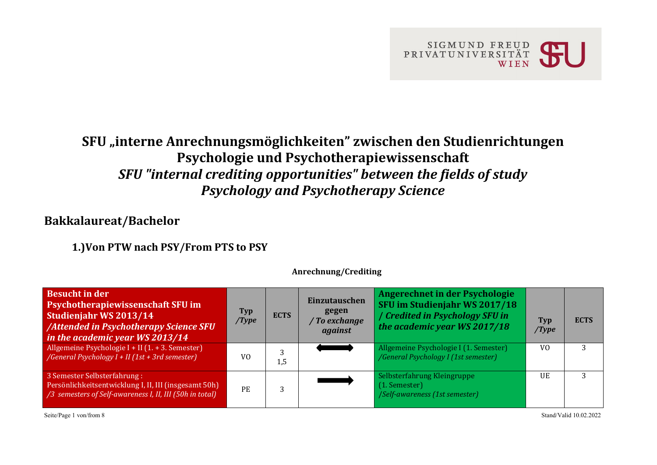

# **SFU "interne Anrechnungsmöglichkeiten" zwischen den Studienrichtungen Psychologie und Psychotherapiewissenschaft** *SFU "internal crediting opportunities" between the fields of study Psychology and Psychotherapy Science*

### **Bakkalaureat/Bachelor**

**1.)Von PTW nach PSY/From PTS to PSY**

| <b>Besucht in der</b><br><b>Psychotherapiewissenschaft SFU im</b><br>Studienjahr WS 2013/14<br>/Attended in Psychotherapy Science SFU<br>in the academic year WS 2013/14 | Typ<br>/Type   | <b>ECTS</b> | Einzutauschen<br>gegen<br>/ To exchange<br>against | Angerechnet in der Psychologie<br>SFU im Studienjahr WS 2017/18<br>/ Credited in Psychology SFU in<br>the academic year WS 2017/18 | <b>Typ</b><br>/Type | <b>ECTS</b> |
|--------------------------------------------------------------------------------------------------------------------------------------------------------------------------|----------------|-------------|----------------------------------------------------|------------------------------------------------------------------------------------------------------------------------------------|---------------------|-------------|
| Allgemeine Psychologie I + II $(1. + 3.$ Semester)<br>/General Psychology $I + II$ (1st + 3rd semester)                                                                  | V <sub>0</sub> | 1,5         |                                                    | Allgemeine Psychologie I (1. Semester)<br>/General Psychology I (1st semester)                                                     | V <sub>0</sub>      |             |
| 3 Semester Selbsterfahrung:<br>Persönlichkeitsentwicklung I, II, III (insgesamt 50h)<br>/3 semesters of Self-awareness I, II, III (50h in total)                         | PE.            |             |                                                    | Selbsterfahrung Kleingruppe<br>$(1.$ Semester $)$<br>/Self-awareness (1st semester)                                                | <b>IJE</b>          |             |

**Anrechnung/Crediting**

Seite/Page 1 von/from 8 Stand/Valid 10.02.2022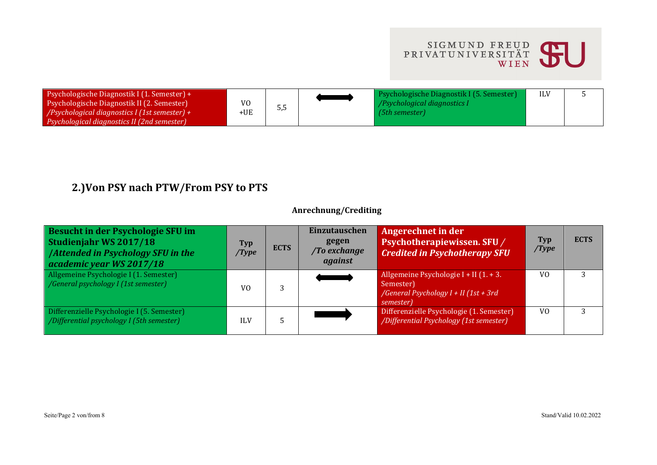

| Psychologische Diagnostik I (1. Semester) +<br>Psychologische Diagnostik II (2. Semester)<br>/Psychological diagnostics I (1st semester) + | V۵<br>⊦UE | ັບ,ບ | Psychologische Diagnostik I (5. Semester)<br><i>Psychological diagnostics I</i><br>$(5th$ semester) |  |
|--------------------------------------------------------------------------------------------------------------------------------------------|-----------|------|-----------------------------------------------------------------------------------------------------|--|
| Psychological diagnostics II (2nd semester)                                                                                                |           |      |                                                                                                     |  |

## **2.)Von PSY nach PTW/From PSY to PTS**

#### **Anrechnung/Crediting**

| Besucht in der Psychologie SFU im<br>Studienjahr WS 2017/18<br><b>/Attended in Psychology SFU in the</b><br>academic year WS 2017/18 | Typ<br>/Type   | <b>ECTS</b> | <b>Einzutauschen</b><br>gegen<br>/To exchange<br>against | Angerechnet in der<br>Psychotherapiewissen. SFU/<br><b>Credited in Psychotherapy SFU</b>                    | <b>Typ</b><br>/Type | <b>ECTS</b> |
|--------------------------------------------------------------------------------------------------------------------------------------|----------------|-------------|----------------------------------------------------------|-------------------------------------------------------------------------------------------------------------|---------------------|-------------|
| Allgemeine Psychologie I (1. Semester)<br>/General psychology I (1st semester)                                                       | V <sub>0</sub> |             |                                                          | Allgemeine Psychologie I + II (1. + 3.<br>Semester)<br>/General Psychology $I + II$ (1st + 3rd<br>semester) | V <sub>0</sub>      | 3           |
| Differenzielle Psychologie I (5. Semester)<br>/Differential psychology I (5th semester)                                              | ILV            |             |                                                          | Differenzielle Psychologie (1. Semester)<br>/Differential Psychology (1st semester)                         | V <sub>0</sub>      |             |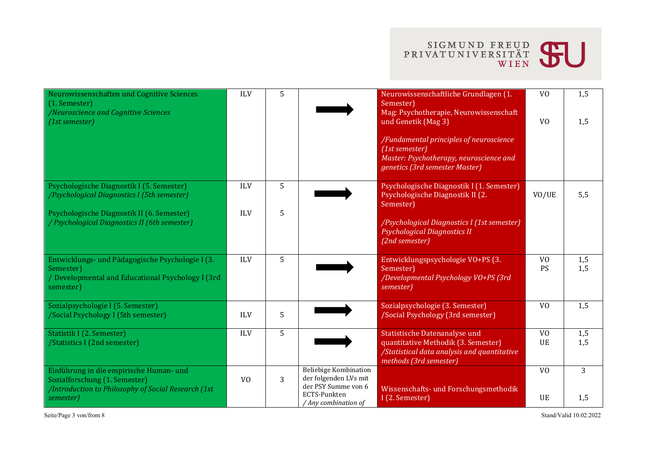

| Neurowissenschaften und Cognitive Sciences<br>(1. Semester)<br>/Neuroscience and Cognitive Sciences<br>$(1st$ semester)                      | <b>ILV</b>     | 5 |                                                                                                               | Neurowissenschaftliche Grundlagen (1.<br>Semester)<br>Mag: Psychotherapie, Neurowissenschaft<br>und Genetik (Mag 3)                           | V <sub>O</sub><br>V <sub>O</sub> | 1,5<br>1,5 |
|----------------------------------------------------------------------------------------------------------------------------------------------|----------------|---|---------------------------------------------------------------------------------------------------------------|-----------------------------------------------------------------------------------------------------------------------------------------------|----------------------------------|------------|
|                                                                                                                                              |                |   |                                                                                                               | /Fundamental principles of neuroscience<br>(1st semester)<br>Master: Psychotherapy, neuroscience and<br>genetics (3rd semester Master)        |                                  |            |
| Psychologische Diagnostik I (5. Semester)<br>/Psychological Diagnostics I (5th semester)                                                     | <b>ILV</b>     | 5 |                                                                                                               | Psychologische Diagnostik I (1. Semester)<br>Psychologische Diagnostik II (2.<br>Semester)                                                    | VO/UE                            | 5,5        |
| Psychologische Diagnostik II (6. Semester)<br>/ Psychological Diagnostics II (6th semester)                                                  | <b>ILV</b>     | 5 |                                                                                                               | /Psychological Diagnostics I (1st semester)<br><b>Psychological Diagnostics II</b><br>(2nd semester)                                          |                                  |            |
| Entwicklungs- und Pädagogische Psychologie I (3.<br>Semester)<br>/ Developmental and Educational Psychology I (3rd<br>semester)              | <b>ILV</b>     | 5 |                                                                                                               | Entwicklungspsychologie VO+PS (3.<br>Semester)<br>/Developmental Psychology VO+PS (3rd<br>semester)                                           | V <sub>0</sub><br>PS             | 1,5<br>1,5 |
| Sozialpsychologie I (5. Semester)<br>/Social Psychology I (5th semester)                                                                     | <b>ILV</b>     | 5 |                                                                                                               | Sozialpsychologie (3. Semester)<br>/Social Psychology (3rd semester)                                                                          | V <sub>0</sub>                   | 1,5        |
| Statistik I (2. Semester)<br>/Statistics I (2nd semester)                                                                                    | <b>ILV</b>     | 5 |                                                                                                               | Statistische Datenanalyse und<br>quantitative Methodik (3. Semester)<br>/Statistical data analysis and quantitative<br>methods (3rd semester) | V <sub>0</sub><br>UE             | 1,5<br>1,5 |
| Einführung in die empirische Human- und<br>Sozialforschung (1. Semester)<br>/Introduction to Philosophy of Social Research (1st<br>semester) | V <sub>0</sub> | 3 | Beliebige Kombination<br>der folgenden LVs mit<br>der PSY Summe von 6<br>ECTS-Punkten<br>/ Any combination of | Wissenschafts- und Forschungsmethodik<br>I (2. Semester)                                                                                      | V <sub>0</sub><br>UE             | 3<br>1,5   |

Seite/Page 3 von/from 8 Stand/Valid 10.02.2022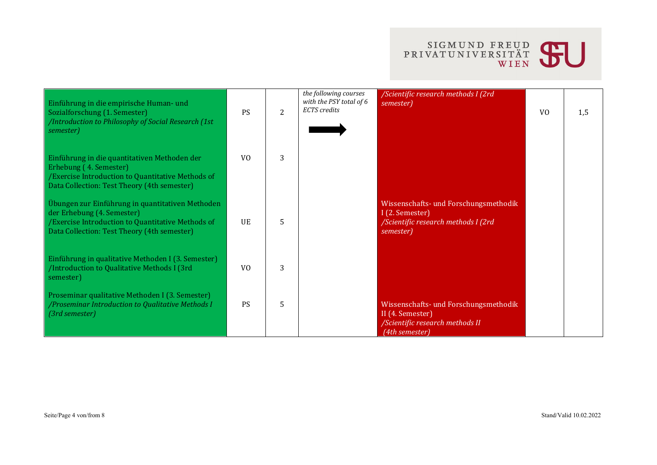

| Einführung in die empirische Human- und<br>Sozialforschung (1. Semester)<br>/Introduction to Philosophy of Social Research (1st)<br>semester)                                      | <b>PS</b>      | $\overline{2}$ | the following courses<br>with the PSY total of 6<br><b>ECTS</b> credits | /Scientific research methods I (2rd<br>semester)                                                               | V <sub>0</sub> | 1,5 |
|------------------------------------------------------------------------------------------------------------------------------------------------------------------------------------|----------------|----------------|-------------------------------------------------------------------------|----------------------------------------------------------------------------------------------------------------|----------------|-----|
| Einführung in die quantitativen Methoden der<br>Erhebung (4. Semester)<br>/Exercise Introduction to Quantitative Methods of<br>Data Collection: Test Theory (4th semester)         | V <sub>0</sub> | 3              |                                                                         |                                                                                                                |                |     |
| Übungen zur Einführung in quantitativen Methoden<br>der Erhebung (4. Semester)<br>/Exercise Introduction to Quantitative Methods of<br>Data Collection: Test Theory (4th semester) | <b>UE</b>      | 5.             |                                                                         | Wissenschafts- und Forschungsmethodik<br>I (2. Semester)<br>/Scientific research methods I (2rd<br>semester)   |                |     |
| Einführung in qualitative Methoden I (3. Semester)<br>/Introduction to Qualitative Methods I (3rd<br>semester)                                                                     | V <sub>0</sub> | 3              |                                                                         |                                                                                                                |                |     |
| Proseminar qualitative Methoden I (3. Semester)<br>/Proseminar Introduction to Qualitative Methods I<br>(3rd semester)                                                             | <b>PS</b>      | 5              |                                                                         | Wissenschafts- und Forschungsmethodik<br>II (4. Semester)<br>/Scientific research methods II<br>(4th semester) |                |     |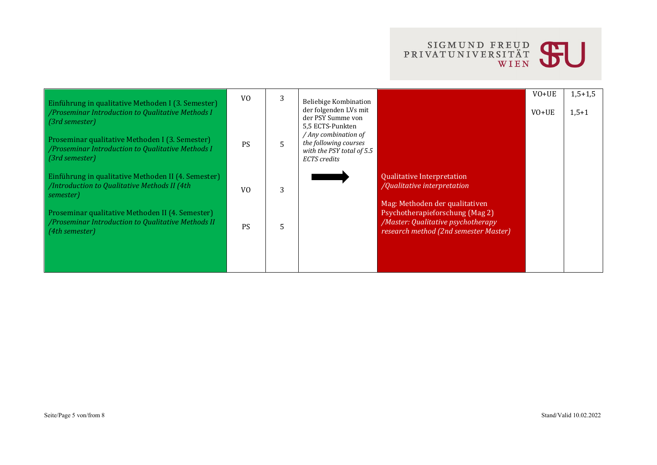

| Einführung in qualitative Methoden I (3. Semester)<br>/ Proseminar Introduction to Qualitative Methods I<br>$(3rd$ semester)<br>Proseminar qualitative Methoden I (3. Semester)<br>/ Proseminar Introduction to Qualitative Methods I<br>$\lceil$ (3rd semester) | V <sub>0</sub><br><b>PS</b> | 3<br>5. | Beliebige Kombination<br>der folgenden LVs mit<br>der PSY Summe von<br>5.5 ECTS-Punkten<br>/ Any combination of<br>the following courses<br>with the PSY total of 5.5<br>ECTS credits |                                                                                                                                                  | $VO+UE$<br>$VO+UE$ | $1,5+1,5$<br>$1,5+1$ |
|------------------------------------------------------------------------------------------------------------------------------------------------------------------------------------------------------------------------------------------------------------------|-----------------------------|---------|---------------------------------------------------------------------------------------------------------------------------------------------------------------------------------------|--------------------------------------------------------------------------------------------------------------------------------------------------|--------------------|----------------------|
| Einführung in qualitative Methoden II (4. Semester)<br>/Introduction to Qualitative Methods II (4th<br>semester)                                                                                                                                                 | V <sub>0</sub>              | 3       |                                                                                                                                                                                       | <b>Qualitative Interpretation</b><br>/Qualitative interpretation                                                                                 |                    |                      |
| Proseminar qualitative Methoden II (4. Semester)<br>/Proseminar Introduction to Qualitative Methods II<br>$(4th$ semester)                                                                                                                                       | <b>PS</b>                   | 5.      |                                                                                                                                                                                       | Mag: Methoden der qualitativen<br>Psychotherapieforschung (Mag 2)<br>/Master: Qualitative psychotherapy<br>research method (2nd semester Master) |                    |                      |
|                                                                                                                                                                                                                                                                  |                             |         |                                                                                                                                                                                       |                                                                                                                                                  |                    |                      |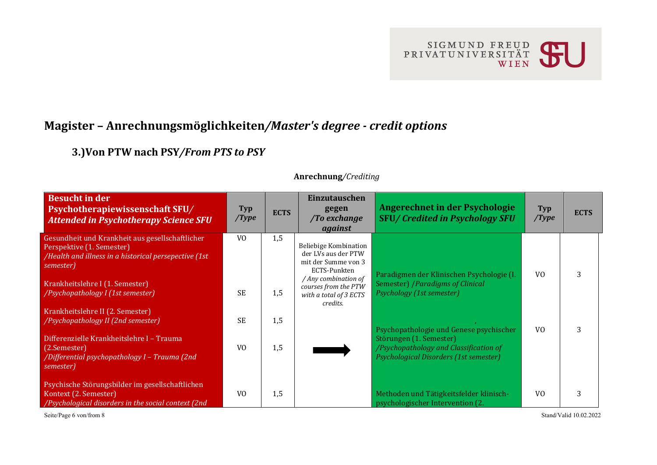

## **Magister – Anrechnungsmöglichkeiten***/Master's degree - credit options*

**3.)Von PTW nach PSY***/From PTS to PSY*

| <b>Besucht in der</b><br>Psychotherapiewissenschaft SFU/<br><b>Attended in Psychotherapy Science SFU</b>                                           | <b>Typ</b><br>/Type    | <b>ECTS</b> | Einzutauschen<br>gegen<br>/To exchange<br>against                                                           | Angerechnet in der Psychologie<br><b>SFU/Credited in Psychology SFU</b>                                                                                | Typ<br>/Type   | <b>ECTS</b> |
|----------------------------------------------------------------------------------------------------------------------------------------------------|------------------------|-------------|-------------------------------------------------------------------------------------------------------------|--------------------------------------------------------------------------------------------------------------------------------------------------------|----------------|-------------|
| Gesundheit und Krankheit aus gesellschaftlicher<br>Perspektive (1. Semester)<br>/Health and illness in a historical persepective (1st<br>semester) | V <sub>0</sub>         | 1,5         | Beliebige Kombination<br>der LVs aus der PTW<br>mit der Summe von 3<br>ECTS-Punkten<br>/ Any combination of | Paradigmen der Klinischen Psychologie (I.                                                                                                              | V <sub>0</sub> | 3           |
| Krankheitslehre I (1. Semester)<br>/Psychopathology I (1st semester)<br>Krankheitslehre II (2. Semester)<br>/Psychopathology II (2nd semester)     | <b>SE</b><br><b>SE</b> | 1,5<br>1,5  | courses from the PTW<br>with a total of 3 ECTS<br>credits.                                                  | <b>Semester) / Paradigms of Clinical</b><br>Psychology (1st semester)                                                                                  |                |             |
| Differenzielle Krankheitslehre I - Trauma<br>(2.Semester)<br>/Differential psychopathology I - Trauma (2nd<br>semester)                            | V <sub>0</sub>         | 1,5         |                                                                                                             | Psychopathologie und Genese psychischer<br>Störungen (1. Semester)<br>/Psychopathology and Classification of<br>Psychological Disorders (1st semester) | V <sub>0</sub> | 3           |
| Psychische Störungsbilder im gesellschaftlichen<br>Kontext (2. Semester)<br>/Psychological disorders in the social context (2nd                    | V <sub>0</sub>         | 1,5         |                                                                                                             | Methoden und Tätigkeitsfelder klinisch-<br>psychologischer Intervention (2.                                                                            | V <sub>0</sub> | 3           |

#### **Anrechnung***/Crediting*

Seite/Page 6 von/from 8 Stand/Valid 10.02.2022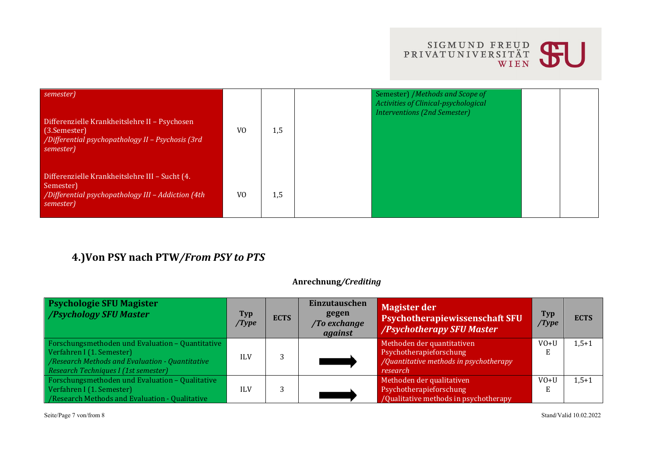

| semester)<br>Differenzielle Krankheitslehre II - Psychosen<br>(3.Semester)<br>/Differential psychopathology II - Psychosis (3rd<br>semester) | V <sub>0</sub> | 1,5 | Semester) / Methods and Scope of<br>Activities of Clinical-psychological<br><b>Interventions (2nd Semester)</b> |  |
|----------------------------------------------------------------------------------------------------------------------------------------------|----------------|-----|-----------------------------------------------------------------------------------------------------------------|--|
| Differenzielle Krankheitslehre III - Sucht (4.<br>Semester)<br>/Differential psychopathology III - Addiction (4th<br>semester)               | V <sub>0</sub> | 1,5 |                                                                                                                 |  |

## **4.)Von PSY nach PTW***/From PSY to PTS*

#### **Anrechnung***/Crediting*

| <b>Psychologie SFU Magister</b><br>/Psychology SFU Master                                                                                                                | <b>Typ</b><br>/Type | <b>ECTS</b> | Einzutauschen<br>gegen<br>/To exchange<br>against | <b>Magister der</b><br>Psychotherapiewissenschaft SFU<br>/Psychotherapy SFU Master                          | Typ<br>/Type | <b>ECTS</b> |
|--------------------------------------------------------------------------------------------------------------------------------------------------------------------------|---------------------|-------------|---------------------------------------------------|-------------------------------------------------------------------------------------------------------------|--------------|-------------|
| Forschungsmethoden und Evaluation - Quantitative<br>Verfahren I (1. Semester)<br>/Research Methods and Evaluation - Quantitative<br>Research Techniques I (1st semester) | <b>ILV</b>          |             |                                                   | Methoden der quantitativen<br>Psychotherapieforschung<br>/Quantitative methods in psychotherapy<br>research | $VO+U$       | $1,5+1$     |
| Forschungsmethoden und Evaluation - Qualitative<br>Verfahren I (1. Semester)<br>/Research Methods and Evaluation - Qualitative                                           | <b>ILV</b>          |             |                                                   | Methoden der qualitativen<br>Psychotherapieforschung<br>/Qualitative methods in psychotherapy               | $VO+U$       | $1,5+1$     |

Seite/Page 7 von/from 8 Stand/Valid 10.02.2022